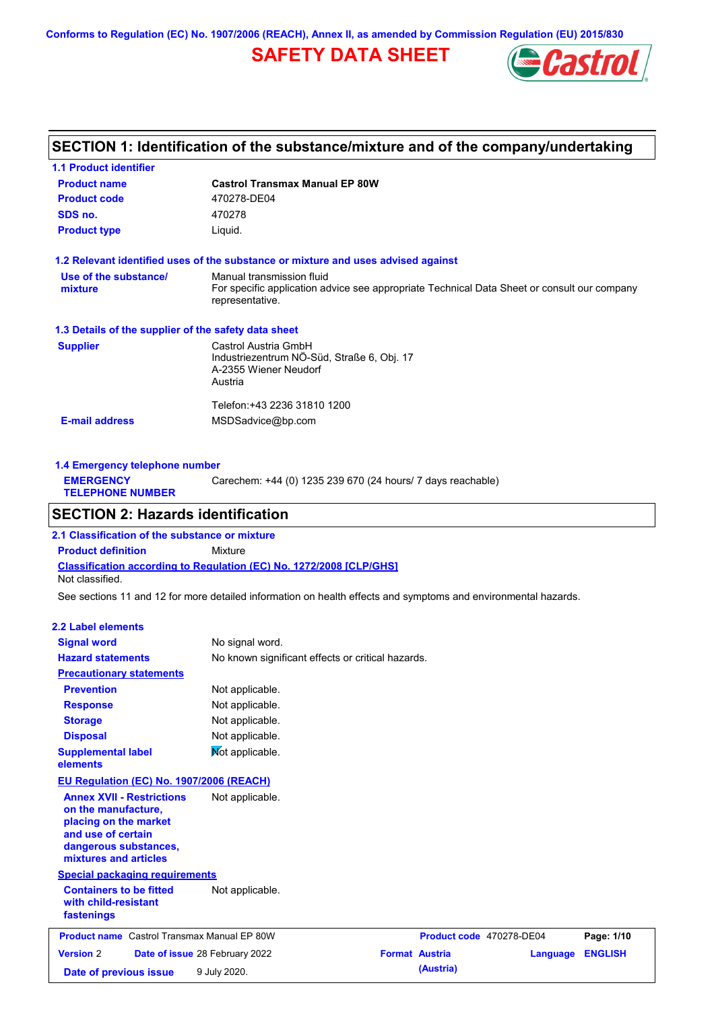**Conforms to Regulation (EC) No. 1907/2006 (REACH), Annex II, as amended by Commission Regulation (EU) 2015/830**

# **SAFETY DATA SHEET**



# **SECTION 1: Identification of the substance/mixture and of the company/undertaking**

| <b>1.1 Product identifier</b>                        |                                                                                                                                             |
|------------------------------------------------------|---------------------------------------------------------------------------------------------------------------------------------------------|
| <b>Product name</b>                                  | <b>Castrol Transmax Manual EP 80W</b>                                                                                                       |
| <b>Product code</b>                                  | 470278-DE04                                                                                                                                 |
| SDS no.                                              | 470278                                                                                                                                      |
| <b>Product type</b>                                  | Liquid.                                                                                                                                     |
|                                                      | 1.2 Relevant identified uses of the substance or mixture and uses advised against                                                           |
| Use of the substance/<br>mixture                     | Manual transmission fluid<br>For specific application advice see appropriate Technical Data Sheet or consult our company<br>representative. |
| 1.3 Details of the supplier of the safety data sheet |                                                                                                                                             |
| <b>Supplier</b>                                      | Castrol Austria GmbH<br>Industriezentrum NÖ-Süd, Straße 6, Obj. 17<br>A-2355 Wiener Neudorf<br>Austria                                      |
| <b>E-mail address</b>                                | Telefon: +43 2236 31810 1200<br>MSDSadvice@bp.com                                                                                           |

| 1.4 Emergency telephone number              |                                                             |  |  |  |
|---------------------------------------------|-------------------------------------------------------------|--|--|--|
| <b>EMERGENCY</b><br><b>TELEPHONE NUMBER</b> | Carechem: +44 (0) 1235 239 670 (24 hours/ 7 days reachable) |  |  |  |
|                                             |                                                             |  |  |  |

## **SECTION 2: Hazards identification**

**Classification according to Regulation (EC) No. 1272/2008 [CLP/GHS] 2.1 Classification of the substance or mixture Product definition** Mixture Not classified.

See sections 11 and 12 for more detailed information on health effects and symptoms and environmental hazards.

### **2.2 Label elements**

| <b>Signal word</b><br><b>Hazard statements</b>                                                                                                           | No signal word.<br>No known significant effects or critical hazards. |                          |          |                |
|----------------------------------------------------------------------------------------------------------------------------------------------------------|----------------------------------------------------------------------|--------------------------|----------|----------------|
| <b>Precautionary statements</b>                                                                                                                          |                                                                      |                          |          |                |
| <b>Prevention</b>                                                                                                                                        | Not applicable.                                                      |                          |          |                |
| <b>Response</b>                                                                                                                                          | Not applicable.                                                      |                          |          |                |
| <b>Storage</b>                                                                                                                                           | Not applicable.                                                      |                          |          |                |
| <b>Disposal</b>                                                                                                                                          | Not applicable.                                                      |                          |          |                |
| <b>Supplemental label</b><br>elements                                                                                                                    | Not applicable.                                                      |                          |          |                |
| EU Regulation (EC) No. 1907/2006 (REACH)                                                                                                                 |                                                                      |                          |          |                |
| <b>Annex XVII - Restrictions</b><br>on the manufacture,<br>placing on the market<br>and use of certain<br>dangerous substances,<br>mixtures and articles | Not applicable.                                                      |                          |          |                |
| <b>Special packaging requirements</b>                                                                                                                    |                                                                      |                          |          |                |
| <b>Containers to be fitted</b><br>with child-resistant<br>fastenings                                                                                     | Not applicable.                                                      |                          |          |                |
| <b>Product name</b> Castrol Transmax Manual EP 80W                                                                                                       |                                                                      | Product code 470278-DE04 |          | Page: 1/10     |
| <b>Version 2</b>                                                                                                                                         | Date of issue 28 February 2022                                       | <b>Format Austria</b>    | Language | <b>ENGLISH</b> |
| Date of previous issue                                                                                                                                   | 9 July 2020.                                                         | (Austria)                |          |                |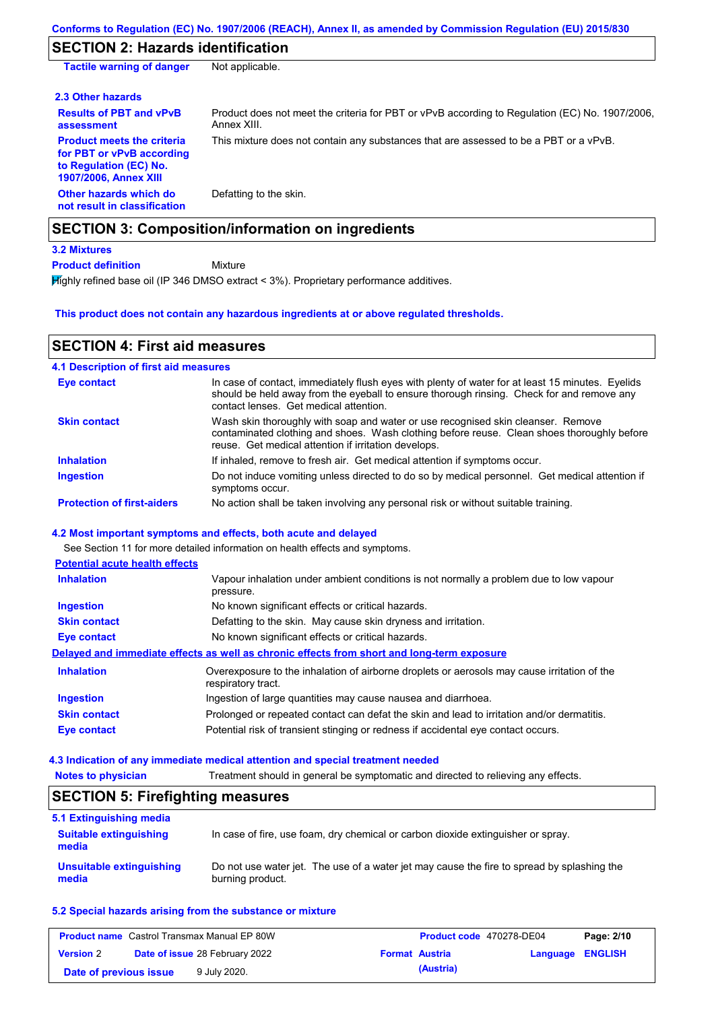# **SECTION 2: Hazards identification**

| <b>Tactile warning of danger</b>                                                                                  | Not applicable.                                                                                               |
|-------------------------------------------------------------------------------------------------------------------|---------------------------------------------------------------------------------------------------------------|
| 2.3 Other hazards                                                                                                 |                                                                                                               |
| <b>Results of PBT and vPvB</b><br>assessment                                                                      | Product does not meet the criteria for PBT or vPvB according to Regulation (EC) No. 1907/2006,<br>Annex XIII. |
| <b>Product meets the criteria</b><br>for PBT or vPvB according<br>to Regulation (EC) No.<br>1907/2006, Annex XIII | This mixture does not contain any substances that are assessed to be a PBT or a vPvB.                         |
| Other hazards which do<br>not result in classification                                                            | Defatting to the skin.                                                                                        |
|                                                                                                                   | <b>SECTION 3: Composition/information on ingredients</b>                                                      |
| <b>3.2 Mixtures</b>                                                                                               |                                                                                                               |

Mixture **Product definition**

Highly refined base oil (IP 346 DMSO extract < 3%). Proprietary performance additives.

### **This product does not contain any hazardous ingredients at or above regulated thresholds.**

## **SECTION 4: First aid measures**

| <b>4.1 Description of first aid measures</b> |                                                                                                                                                                                                                                         |
|----------------------------------------------|-----------------------------------------------------------------------------------------------------------------------------------------------------------------------------------------------------------------------------------------|
| Eye contact                                  | In case of contact, immediately flush eyes with plenty of water for at least 15 minutes. Eyelids<br>should be held away from the eyeball to ensure thorough rinsing. Check for and remove any<br>contact lenses. Get medical attention. |
| <b>Skin contact</b>                          | Wash skin thoroughly with soap and water or use recognised skin cleanser. Remove<br>contaminated clothing and shoes. Wash clothing before reuse. Clean shoes thoroughly before<br>reuse. Get medical attention if irritation develops.  |
| <b>Inhalation</b>                            | If inhaled, remove to fresh air. Get medical attention if symptoms occur.                                                                                                                                                               |
| <b>Ingestion</b>                             | Do not induce vomiting unless directed to do so by medical personnel. Get medical attention if<br>symptoms occur.                                                                                                                       |
| <b>Protection of first-aiders</b>            | No action shall be taken involving any personal risk or without suitable training.                                                                                                                                                      |

### **4.2 Most important symptoms and effects, both acute and delayed**

See Section 11 for more detailed information on health effects and symptoms.

| <b>Potential acute health effects</b> |                                                                                                                   |
|---------------------------------------|-------------------------------------------------------------------------------------------------------------------|
| <b>Inhalation</b>                     | Vapour inhalation under ambient conditions is not normally a problem due to low vapour<br>pressure.               |
| <b>Ingestion</b>                      | No known significant effects or critical hazards.                                                                 |
| <b>Skin contact</b>                   | Defatting to the skin. May cause skin dryness and irritation.                                                     |
| Eye contact                           | No known significant effects or critical hazards.                                                                 |
|                                       | Delayed and immediate effects as well as chronic effects from short and long-term exposure                        |
| <b>Inhalation</b>                     | Overexposure to the inhalation of airborne droplets or aerosols may cause irritation of the<br>respiratory tract. |
| <b>Ingestion</b>                      | Ingestion of large quantities may cause nausea and diarrhoea.                                                     |
| <b>Skin contact</b>                   | Prolonged or repeated contact can defat the skin and lead to irritation and/or dermatitis.                        |
| Eye contact                           | Potential risk of transient stinging or redness if accidental eye contact occurs.                                 |

### **4.3 Indication of any immediate medical attention and special treatment needed**

| <b>SECTION 5: Firefighting measures</b> |                                                                                                                |  |  |  |
|-----------------------------------------|----------------------------------------------------------------------------------------------------------------|--|--|--|
| 5.1 Extinguishing media                 |                                                                                                                |  |  |  |
| <b>Suitable extinguishing</b><br>media  | In case of fire, use foam, dry chemical or carbon dioxide extinguisher or spray.                               |  |  |  |
| Unsuitable extinguishing<br>media       | Do not use water jet. The use of a water jet may cause the fire to spread by splashing the<br>burning product. |  |  |  |

### **5.2 Special hazards arising from the substance or mixture**

| <b>Product name</b> Castrol Transmax Manual EP 80W |  | Product code 470278-DE04              |  | Page: 2/10            |                         |  |
|----------------------------------------------------|--|---------------------------------------|--|-----------------------|-------------------------|--|
| <b>Version 2</b>                                   |  | <b>Date of issue 28 February 2022</b> |  | <b>Format Austria</b> | <b>Language ENGLISH</b> |  |
| Date of previous issue                             |  | 9 July 2020.                          |  | (Austria)             |                         |  |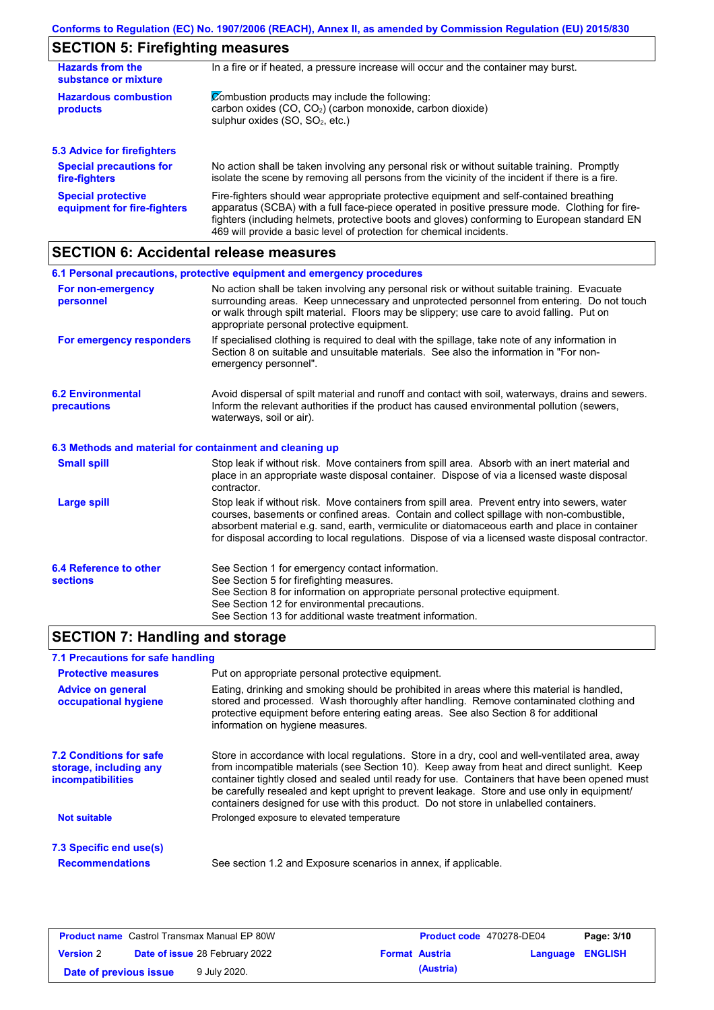# **SECTION 5: Firefighting measures**

| In a fire or if heated, a pressure increase will occur and the container may burst.<br><b>Hazards from the</b><br>substance or mixture                                                                  |                                                                                                                                                                                                                                                                                                                                                                   |  |  |  |
|---------------------------------------------------------------------------------------------------------------------------------------------------------------------------------------------------------|-------------------------------------------------------------------------------------------------------------------------------------------------------------------------------------------------------------------------------------------------------------------------------------------------------------------------------------------------------------------|--|--|--|
| Combustion products may include the following:<br><b>Hazardous combustion</b><br>carbon oxides (CO, CO <sub>2</sub> ) (carbon monoxide, carbon dioxide)<br>products<br>sulphur oxides $(SO, SO2, etc.)$ |                                                                                                                                                                                                                                                                                                                                                                   |  |  |  |
| 5.3 Advice for firefighters                                                                                                                                                                             |                                                                                                                                                                                                                                                                                                                                                                   |  |  |  |
| <b>Special precautions for</b><br>fire-fighters                                                                                                                                                         | No action shall be taken involving any personal risk or without suitable training. Promptly<br>isolate the scene by removing all persons from the vicinity of the incident if there is a fire.                                                                                                                                                                    |  |  |  |
| <b>Special protective</b><br>equipment for fire-fighters                                                                                                                                                | Fire-fighters should wear appropriate protective equipment and self-contained breathing<br>apparatus (SCBA) with a full face-piece operated in positive pressure mode. Clothing for fire-<br>fighters (including helmets, protective boots and gloves) conforming to European standard EN<br>469 will provide a basic level of protection for chemical incidents. |  |  |  |

# **SECTION 6: Accidental release measures**

|                                                                                                                                                                                                                                                                                                                                                                       | 6.1 Personal precautions, protective equipment and emergency procedures                                                                                                                                                                                                                                                                                                                        |  |  |
|-----------------------------------------------------------------------------------------------------------------------------------------------------------------------------------------------------------------------------------------------------------------------------------------------------------------------------------------------------------------------|------------------------------------------------------------------------------------------------------------------------------------------------------------------------------------------------------------------------------------------------------------------------------------------------------------------------------------------------------------------------------------------------|--|--|
| No action shall be taken involving any personal risk or without suitable training. Evacuate<br>For non-emergency<br>surrounding areas. Keep unnecessary and unprotected personnel from entering. Do not touch<br>personnel<br>or walk through spilt material. Floors may be slippery; use care to avoid falling. Put on<br>appropriate personal protective equipment. |                                                                                                                                                                                                                                                                                                                                                                                                |  |  |
| For emergency responders                                                                                                                                                                                                                                                                                                                                              | If specialised clothing is required to deal with the spillage, take note of any information in<br>Section 8 on suitable and unsuitable materials. See also the information in "For non-<br>emergency personnel".                                                                                                                                                                               |  |  |
| <b>6.2 Environmental</b><br>precautions                                                                                                                                                                                                                                                                                                                               | Avoid dispersal of spilt material and runoff and contact with soil, waterways, drains and sewers.<br>Inform the relevant authorities if the product has caused environmental pollution (sewers,<br>waterways, soil or air).                                                                                                                                                                    |  |  |
| 6.3 Methods and material for containment and cleaning up                                                                                                                                                                                                                                                                                                              |                                                                                                                                                                                                                                                                                                                                                                                                |  |  |
| <b>Small spill</b>                                                                                                                                                                                                                                                                                                                                                    | Stop leak if without risk. Move containers from spill area. Absorb with an inert material and<br>place in an appropriate waste disposal container. Dispose of via a licensed waste disposal<br>contractor.                                                                                                                                                                                     |  |  |
| <b>Large spill</b>                                                                                                                                                                                                                                                                                                                                                    | Stop leak if without risk. Move containers from spill area. Prevent entry into sewers, water<br>courses, basements or confined areas. Contain and collect spillage with non-combustible,<br>absorbent material e.g. sand, earth, vermiculite or diatomaceous earth and place in container<br>for disposal according to local regulations. Dispose of via a licensed waste disposal contractor. |  |  |
| 6.4 Reference to other<br><b>sections</b>                                                                                                                                                                                                                                                                                                                             | See Section 1 for emergency contact information.<br>See Section 5 for firefighting measures.<br>See Section 8 for information on appropriate personal protective equipment.<br>See Section 12 for environmental precautions.<br>See Section 13 for additional waste treatment information.                                                                                                     |  |  |

# **SECTION 7: Handling and storage**

### **7.1 Precautions for safe handling**

| <b>Protective measures</b>                                                           | Put on appropriate personal protective equipment.                                                                                                                                                                                                                                                                                                                                                                                                                                        |
|--------------------------------------------------------------------------------------|------------------------------------------------------------------------------------------------------------------------------------------------------------------------------------------------------------------------------------------------------------------------------------------------------------------------------------------------------------------------------------------------------------------------------------------------------------------------------------------|
| <b>Advice on general</b><br>occupational hygiene                                     | Eating, drinking and smoking should be prohibited in areas where this material is handled,<br>stored and processed. Wash thoroughly after handling. Remove contaminated clothing and<br>protective equipment before entering eating areas. See also Section 8 for additional<br>information on hygiene measures.                                                                                                                                                                         |
| <b>7.2 Conditions for safe</b><br>storage, including any<br><i>incompatibilities</i> | Store in accordance with local requlations. Store in a dry, cool and well-ventilated area, away<br>from incompatible materials (see Section 10). Keep away from heat and direct sunlight. Keep<br>container tightly closed and sealed until ready for use. Containers that have been opened must<br>be carefully resealed and kept upright to prevent leakage. Store and use only in equipment/<br>containers designed for use with this product. Do not store in unlabelled containers. |
| Not suitable                                                                         | Prolonged exposure to elevated temperature                                                                                                                                                                                                                                                                                                                                                                                                                                               |
| 7.3 Specific end use(s)                                                              |                                                                                                                                                                                                                                                                                                                                                                                                                                                                                          |
| <b>Recommendations</b>                                                               | See section 1.2 and Exposure scenarios in annex, if applicable.                                                                                                                                                                                                                                                                                                                                                                                                                          |
|                                                                                      |                                                                                                                                                                                                                                                                                                                                                                                                                                                                                          |

| <b>Product name</b> Castrol Transmax Manual EP 80W |  |                                       | <b>Product code</b> 470278-DE04 | Page: 3/10            |                         |  |
|----------------------------------------------------|--|---------------------------------------|---------------------------------|-----------------------|-------------------------|--|
| <b>Version 2</b>                                   |  | <b>Date of issue 28 February 2022</b> |                                 | <b>Format Austria</b> | <b>Language ENGLISH</b> |  |
| Date of previous issue                             |  | 9 July 2020.                          |                                 | (Austria)             |                         |  |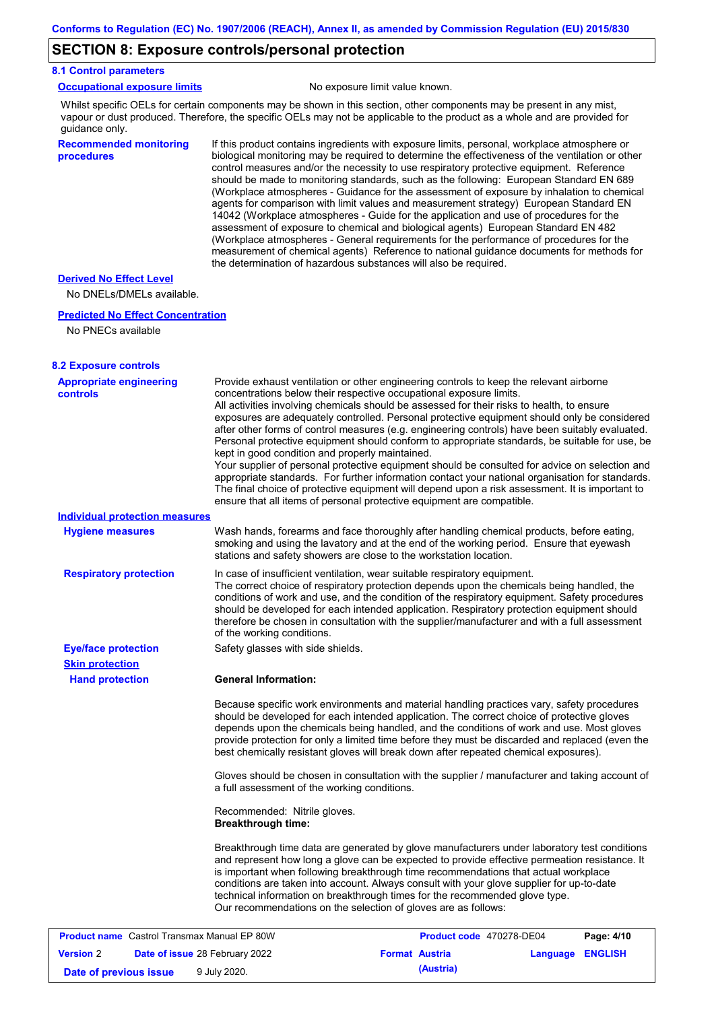### **SECTION 8: Exposure controls/personal protection**

### **8.1 Control parameters**

|  | <b>Occupational exposure limits</b> |  |
|--|-------------------------------------|--|
|  |                                     |  |

No exposure limit value known.

Whilst specific OELs for certain components may be shown in this section, other components may be present in any mist, vapour or dust produced. Therefore, the specific OELs may not be applicable to the product as a whole and are provided for guidance only.

### **Recommended monitoring procedures**

If this product contains ingredients with exposure limits, personal, workplace atmosphere or biological monitoring may be required to determine the effectiveness of the ventilation or other control measures and/or the necessity to use respiratory protective equipment. Reference should be made to monitoring standards, such as the following: European Standard EN 689 (Workplace atmospheres - Guidance for the assessment of exposure by inhalation to chemical agents for comparison with limit values and measurement strategy) European Standard EN 14042 (Workplace atmospheres - Guide for the application and use of procedures for the assessment of exposure to chemical and biological agents) European Standard EN 482 (Workplace atmospheres - General requirements for the performance of procedures for the measurement of chemical agents) Reference to national guidance documents for methods for the determination of hazardous substances will also be required.

#### **Derived No Effect Level**

No DNELs/DMELs available.

#### **Predicted No Effect Concentration**

```
No PNECs available
```

| <b>8.2 Exposure controls</b>                       |                                                           |                                                                                                                                                                                                                                                                                                                                                                                                                                                                                                                                                                                                                                                                                                                                                                                                                                                                                                                                                      |                            |
|----------------------------------------------------|-----------------------------------------------------------|------------------------------------------------------------------------------------------------------------------------------------------------------------------------------------------------------------------------------------------------------------------------------------------------------------------------------------------------------------------------------------------------------------------------------------------------------------------------------------------------------------------------------------------------------------------------------------------------------------------------------------------------------------------------------------------------------------------------------------------------------------------------------------------------------------------------------------------------------------------------------------------------------------------------------------------------------|----------------------------|
| <b>Appropriate engineering</b><br>controls         | kept in good condition and properly maintained.           | Provide exhaust ventilation or other engineering controls to keep the relevant airborne<br>concentrations below their respective occupational exposure limits.<br>All activities involving chemicals should be assessed for their risks to health, to ensure<br>exposures are adequately controlled. Personal protective equipment should only be considered<br>after other forms of control measures (e.g. engineering controls) have been suitably evaluated.<br>Personal protective equipment should conform to appropriate standards, be suitable for use, be<br>Your supplier of personal protective equipment should be consulted for advice on selection and<br>appropriate standards. For further information contact your national organisation for standards.<br>The final choice of protective equipment will depend upon a risk assessment. It is important to<br>ensure that all items of personal protective equipment are compatible. |                            |
| <b>Individual protection measures</b>              |                                                           |                                                                                                                                                                                                                                                                                                                                                                                                                                                                                                                                                                                                                                                                                                                                                                                                                                                                                                                                                      |                            |
| <b>Hygiene measures</b>                            |                                                           | Wash hands, forearms and face thoroughly after handling chemical products, before eating,<br>smoking and using the lavatory and at the end of the working period. Ensure that eyewash<br>stations and safety showers are close to the workstation location.                                                                                                                                                                                                                                                                                                                                                                                                                                                                                                                                                                                                                                                                                          |                            |
| <b>Respiratory protection</b>                      | of the working conditions.                                | In case of insufficient ventilation, wear suitable respiratory equipment.<br>The correct choice of respiratory protection depends upon the chemicals being handled, the<br>conditions of work and use, and the condition of the respiratory equipment. Safety procedures<br>should be developed for each intended application. Respiratory protection equipment should<br>therefore be chosen in consultation with the supplier/manufacturer and with a full assessment                                                                                                                                                                                                                                                                                                                                                                                                                                                                              |                            |
| <b>Eye/face protection</b>                         | Safety glasses with side shields.                         |                                                                                                                                                                                                                                                                                                                                                                                                                                                                                                                                                                                                                                                                                                                                                                                                                                                                                                                                                      |                            |
| <b>Skin protection</b>                             |                                                           |                                                                                                                                                                                                                                                                                                                                                                                                                                                                                                                                                                                                                                                                                                                                                                                                                                                                                                                                                      |                            |
| <b>Hand protection</b>                             | <b>General Information:</b>                               |                                                                                                                                                                                                                                                                                                                                                                                                                                                                                                                                                                                                                                                                                                                                                                                                                                                                                                                                                      |                            |
|                                                    |                                                           | Because specific work environments and material handling practices vary, safety procedures<br>should be developed for each intended application. The correct choice of protective gloves<br>depends upon the chemicals being handled, and the conditions of work and use. Most gloves<br>provide protection for only a limited time before they must be discarded and replaced (even the<br>best chemically resistant gloves will break down after repeated chemical exposures).                                                                                                                                                                                                                                                                                                                                                                                                                                                                     |                            |
|                                                    | a full assessment of the working conditions.              | Gloves should be chosen in consultation with the supplier / manufacturer and taking account of                                                                                                                                                                                                                                                                                                                                                                                                                                                                                                                                                                                                                                                                                                                                                                                                                                                       |                            |
|                                                    | Recommended: Nitrile gloves.<br><b>Breakthrough time:</b> |                                                                                                                                                                                                                                                                                                                                                                                                                                                                                                                                                                                                                                                                                                                                                                                                                                                                                                                                                      |                            |
|                                                    |                                                           | Breakthrough time data are generated by glove manufacturers under laboratory test conditions<br>and represent how long a glove can be expected to provide effective permeation resistance. It<br>is important when following breakthrough time recommendations that actual workplace<br>conditions are taken into account. Always consult with your glove supplier for up-to-date<br>technical information on breakthrough times for the recommended glove type.<br>Our recommendations on the selection of gloves are as follows:                                                                                                                                                                                                                                                                                                                                                                                                                   |                            |
| <b>Product name</b> Castrol Transmax Manual EP 80W |                                                           | Product code 470278-DE04                                                                                                                                                                                                                                                                                                                                                                                                                                                                                                                                                                                                                                                                                                                                                                                                                                                                                                                             | Page: 4/10                 |
| <b>Version 2</b>                                   | Date of issue 28 February 2022                            | <b>Format Austria</b>                                                                                                                                                                                                                                                                                                                                                                                                                                                                                                                                                                                                                                                                                                                                                                                                                                                                                                                                | <b>ENGLISH</b><br>Language |

**Date of previous issue** 9 July 2020.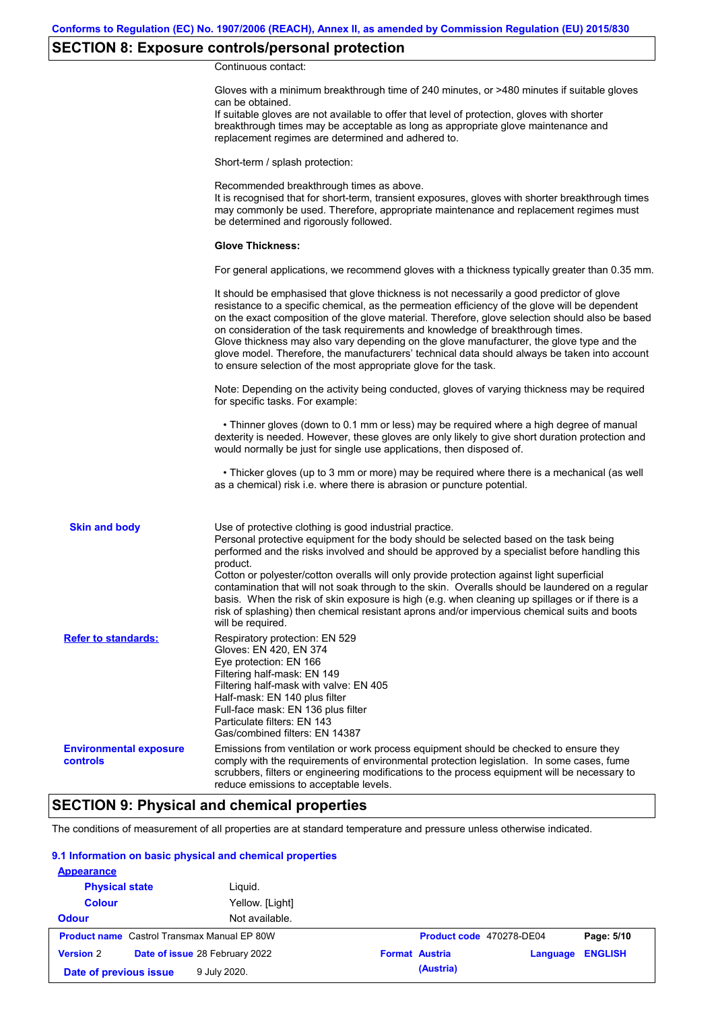# **SECTION 8: Exposure controls/personal protection**

Continuous contact:

|                                           | Gloves with a minimum breakthrough time of 240 minutes, or >480 minutes if suitable gloves<br>can be obtained.<br>If suitable gloves are not available to offer that level of protection, gloves with shorter<br>breakthrough times may be acceptable as long as appropriate glove maintenance and<br>replacement regimes are determined and adhered to.                                                                                                                                                                                                                                                                                                                              |
|-------------------------------------------|---------------------------------------------------------------------------------------------------------------------------------------------------------------------------------------------------------------------------------------------------------------------------------------------------------------------------------------------------------------------------------------------------------------------------------------------------------------------------------------------------------------------------------------------------------------------------------------------------------------------------------------------------------------------------------------|
|                                           | Short-term / splash protection:                                                                                                                                                                                                                                                                                                                                                                                                                                                                                                                                                                                                                                                       |
|                                           | Recommended breakthrough times as above.<br>It is recognised that for short-term, transient exposures, gloves with shorter breakthrough times<br>may commonly be used. Therefore, appropriate maintenance and replacement regimes must<br>be determined and rigorously followed.                                                                                                                                                                                                                                                                                                                                                                                                      |
|                                           | <b>Glove Thickness:</b>                                                                                                                                                                                                                                                                                                                                                                                                                                                                                                                                                                                                                                                               |
|                                           | For general applications, we recommend gloves with a thickness typically greater than 0.35 mm.                                                                                                                                                                                                                                                                                                                                                                                                                                                                                                                                                                                        |
|                                           | It should be emphasised that glove thickness is not necessarily a good predictor of glove<br>resistance to a specific chemical, as the permeation efficiency of the glove will be dependent<br>on the exact composition of the glove material. Therefore, glove selection should also be based<br>on consideration of the task requirements and knowledge of breakthrough times.<br>Glove thickness may also vary depending on the glove manufacturer, the glove type and the<br>glove model. Therefore, the manufacturers' technical data should always be taken into account<br>to ensure selection of the most appropriate glove for the task.                                     |
|                                           | Note: Depending on the activity being conducted, gloves of varying thickness may be required<br>for specific tasks. For example:                                                                                                                                                                                                                                                                                                                                                                                                                                                                                                                                                      |
|                                           | • Thinner gloves (down to 0.1 mm or less) may be required where a high degree of manual<br>dexterity is needed. However, these gloves are only likely to give short duration protection and<br>would normally be just for single use applications, then disposed of.                                                                                                                                                                                                                                                                                                                                                                                                                  |
|                                           | • Thicker gloves (up to 3 mm or more) may be required where there is a mechanical (as well<br>as a chemical) risk i.e. where there is abrasion or puncture potential.                                                                                                                                                                                                                                                                                                                                                                                                                                                                                                                 |
| <b>Skin and body</b>                      | Use of protective clothing is good industrial practice.<br>Personal protective equipment for the body should be selected based on the task being<br>performed and the risks involved and should be approved by a specialist before handling this<br>product.<br>Cotton or polyester/cotton overalls will only provide protection against light superficial<br>contamination that will not soak through to the skin. Overalls should be laundered on a regular<br>basis. When the risk of skin exposure is high (e.g. when cleaning up spillages or if there is a<br>risk of splashing) then chemical resistant aprons and/or impervious chemical suits and boots<br>will be required. |
| <b>Refer to standards:</b>                | Respiratory protection: EN 529<br>Gloves: EN 420, EN 374<br>Eye protection: EN 166<br>Filtering half-mask: EN 149<br>Filtering half-mask with valve: EN 405<br>Half-mask: EN 140 plus filter<br>Full-face mask: EN 136 plus filter<br>Particulate filters: EN 143<br>Gas/combined filters: EN 14387                                                                                                                                                                                                                                                                                                                                                                                   |
| <b>Environmental exposure</b><br>controls | Emissions from ventilation or work process equipment should be checked to ensure they<br>comply with the requirements of environmental protection legislation. In some cases, fume<br>scrubbers, filters or engineering modifications to the process equipment will be necessary to<br>reduce emissions to acceptable levels.                                                                                                                                                                                                                                                                                                                                                         |

# **SECTION 9: Physical and chemical properties**

The conditions of measurement of all properties are at standard temperature and pressure unless otherwise indicated.

### **9.1 Information on basic physical and chemical properties**

| <b>Appearance</b>      |                                                    |                       |                          |          |                |
|------------------------|----------------------------------------------------|-----------------------|--------------------------|----------|----------------|
| <b>Physical state</b>  | Liguid.                                            |                       |                          |          |                |
| <b>Colour</b>          | Yellow. [Light]                                    |                       |                          |          |                |
| <b>Odour</b>           | Not available.                                     |                       |                          |          |                |
|                        | <b>Product name</b> Castrol Transmax Manual EP 80W |                       | Product code 470278-DE04 |          | Page: 5/10     |
| <b>Version 2</b>       | Date of issue 28 February 2022                     | <b>Format Austria</b> |                          | Language | <b>ENGLISH</b> |
| Date of previous issue | 9 July 2020.                                       |                       | (Austria)                |          |                |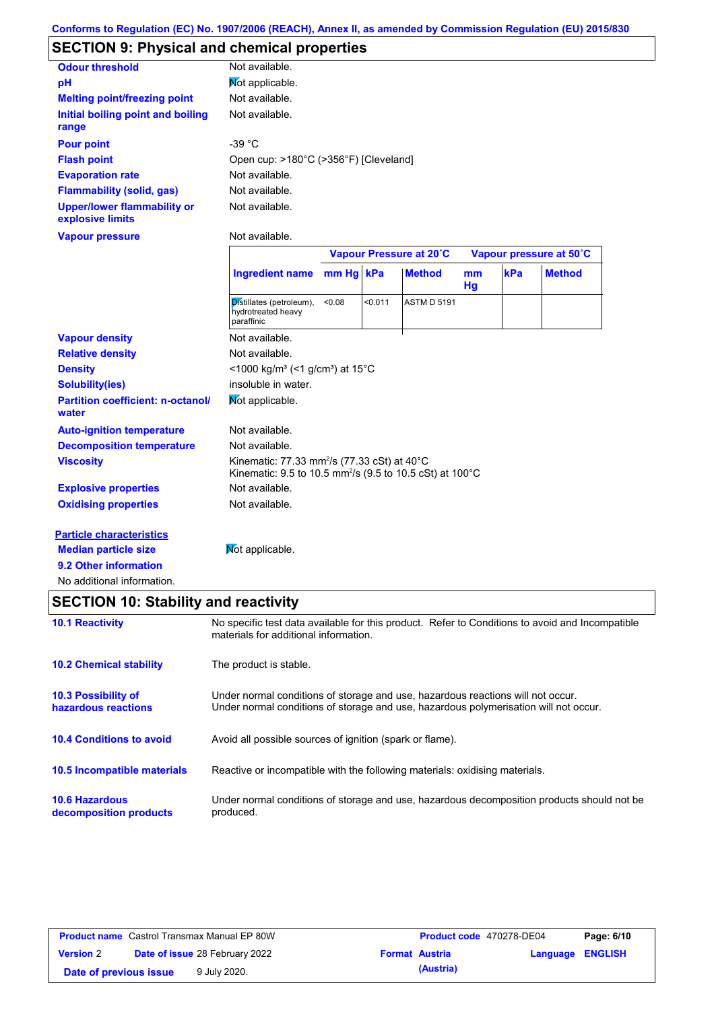# **SECTION 9: Physical and chemical properties**

| <b>Odour threshold</b>                                 | Not available.                        |
|--------------------------------------------------------|---------------------------------------|
| рH                                                     | Mot applicable.                       |
| <b>Melting point/freezing point</b>                    | Not available.                        |
| Initial boiling point and boiling<br>range             | Not available.                        |
| <b>Pour point</b>                                      | -39 °C                                |
| <b>Flash point</b>                                     | Open cup: >180°C (>356°F) [Cleveland] |
| <b>Evaporation rate</b>                                | Not available.                        |
| <b>Flammability (solid, gas)</b>                       | Not available.                        |
| <b>Upper/lower flammability or</b><br>explosive limits | Not available.                        |

**Vapour pressure**

Not available.

|                                                   |                                                                                                                                             | Vapour Pressure at 20°C |         |                    | Vapour pressure at 50°C |     |               |
|---------------------------------------------------|---------------------------------------------------------------------------------------------------------------------------------------------|-------------------------|---------|--------------------|-------------------------|-----|---------------|
|                                                   | <b>Ingredient name</b>                                                                                                                      | mm Hg kPa               |         | <b>Method</b>      | mm<br>Hg                | kPa | <b>Method</b> |
|                                                   | Distillates (petroleum),<br>hydrotreated heavy<br>paraffinic                                                                                | < 0.08                  | < 0.011 | <b>ASTM D 5191</b> |                         |     |               |
| <b>Vapour density</b>                             | Not available.                                                                                                                              |                         |         |                    |                         |     |               |
| <b>Relative density</b>                           | Not available.                                                                                                                              |                         |         |                    |                         |     |               |
| <b>Density</b>                                    | <1000 kg/m <sup>3</sup> (<1 g/cm <sup>3</sup> ) at 15 <sup>°</sup> C                                                                        |                         |         |                    |                         |     |               |
| <b>Solubility(ies)</b>                            | insoluble in water.                                                                                                                         |                         |         |                    |                         |     |               |
| <b>Partition coefficient: n-octanol/</b><br>water | Not applicable.                                                                                                                             |                         |         |                    |                         |     |               |
| <b>Auto-ignition temperature</b>                  | Not available.                                                                                                                              |                         |         |                    |                         |     |               |
| <b>Decomposition temperature</b>                  | Not available.                                                                                                                              |                         |         |                    |                         |     |               |
| <b>Viscosity</b>                                  | Kinematic: 77.33 mm <sup>2</sup> /s (77.33 cSt) at 40 $^{\circ}$ C<br>Kinematic: 9.5 to 10.5 mm <sup>2</sup> /s (9.5 to 10.5 cSt) at 100 °C |                         |         |                    |                         |     |               |
| <b>Explosive properties</b>                       | Not available.                                                                                                                              |                         |         |                    |                         |     |               |
| <b>Oxidising properties</b>                       | Not available.                                                                                                                              |                         |         |                    |                         |     |               |
| <b>Particle characteristics</b>                   |                                                                                                                                             |                         |         |                    |                         |     |               |
| <b>Median particle size</b>                       | Not applicable.                                                                                                                             |                         |         |                    |                         |     |               |

**9.2 Other information**

No additional information.

# **SECTION 10: Stability and reactivity**

| <b>10.1 Reactivity</b>                            | No specific test data available for this product. Refer to Conditions to avoid and Incompatible<br>materials for additional information.                                |
|---------------------------------------------------|-------------------------------------------------------------------------------------------------------------------------------------------------------------------------|
| <b>10.2 Chemical stability</b>                    | The product is stable.                                                                                                                                                  |
| <b>10.3 Possibility of</b><br>hazardous reactions | Under normal conditions of storage and use, hazardous reactions will not occur.<br>Under normal conditions of storage and use, hazardous polymerisation will not occur. |
| <b>10.4 Conditions to avoid</b>                   | Avoid all possible sources of ignition (spark or flame).                                                                                                                |
| <b>10.5 Incompatible materials</b>                | Reactive or incompatible with the following materials: oxidising materials.                                                                                             |
| <b>10.6 Hazardous</b><br>decomposition products   | Under normal conditions of storage and use, hazardous decomposition products should not be<br>produced.                                                                 |

| <b>Product name</b> Castrol Transmax Manual EP 80W |  |                                       | Product code 470278-DE04 |                       | Page: 6/10              |  |
|----------------------------------------------------|--|---------------------------------------|--------------------------|-----------------------|-------------------------|--|
| <b>Version 2</b>                                   |  | <b>Date of issue 28 February 2022</b> |                          | <b>Format Austria</b> | <b>Language ENGLISH</b> |  |
| Date of previous issue                             |  | 9 July 2020.                          |                          | (Austria)             |                         |  |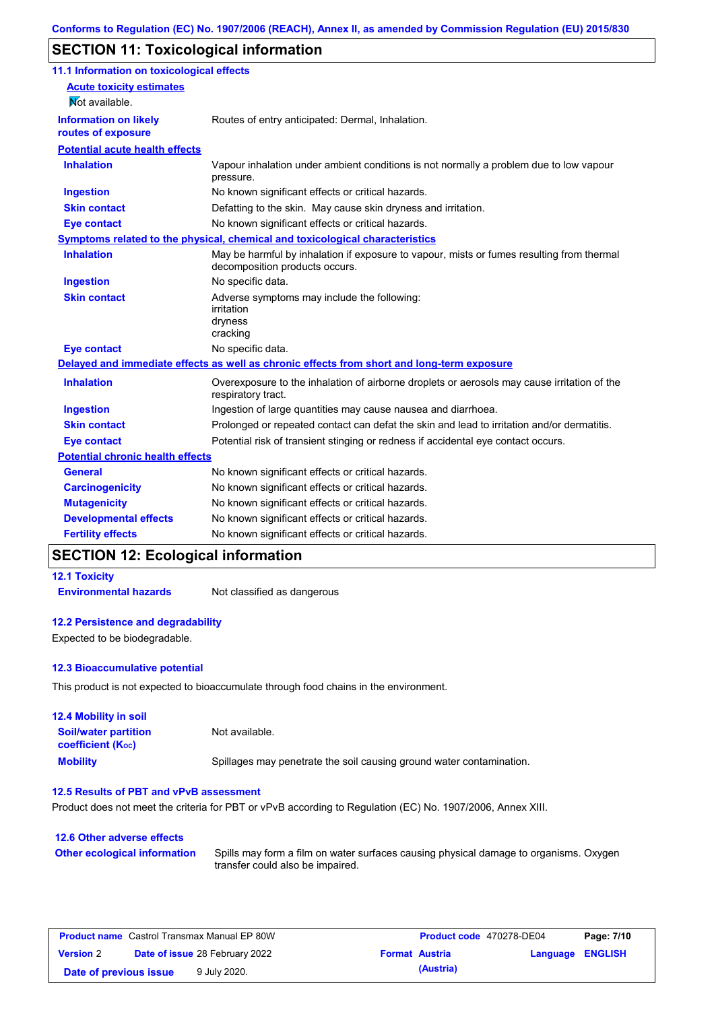# **SECTION 11: Toxicological information**

| 11.1 Information on toxicological effects          |                                                                                                                             |
|----------------------------------------------------|-----------------------------------------------------------------------------------------------------------------------------|
| <b>Acute toxicity estimates</b>                    |                                                                                                                             |
| Mot available.                                     |                                                                                                                             |
| <b>Information on likely</b><br>routes of exposure | Routes of entry anticipated: Dermal, Inhalation.                                                                            |
| <b>Potential acute health effects</b>              |                                                                                                                             |
| <b>Inhalation</b>                                  | Vapour inhalation under ambient conditions is not normally a problem due to low vapour<br>pressure.                         |
| <b>Ingestion</b>                                   | No known significant effects or critical hazards.                                                                           |
| <b>Skin contact</b>                                | Defatting to the skin. May cause skin dryness and irritation.                                                               |
| <b>Eye contact</b>                                 | No known significant effects or critical hazards.                                                                           |
|                                                    | Symptoms related to the physical, chemical and toxicological characteristics                                                |
| <b>Inhalation</b>                                  | May be harmful by inhalation if exposure to vapour, mists or fumes resulting from thermal<br>decomposition products occurs. |
| <b>Ingestion</b>                                   | No specific data.                                                                                                           |
| <b>Skin contact</b>                                | Adverse symptoms may include the following:<br>irritation<br>dryness<br>cracking                                            |
| <b>Eye contact</b>                                 | No specific data.                                                                                                           |
|                                                    | Delayed and immediate effects as well as chronic effects from short and long-term exposure                                  |
| <b>Inhalation</b>                                  | Overexposure to the inhalation of airborne droplets or aerosols may cause irritation of the<br>respiratory tract.           |
| <b>Ingestion</b>                                   | Ingestion of large quantities may cause nausea and diarrhoea.                                                               |
| <b>Skin contact</b>                                | Prolonged or repeated contact can defat the skin and lead to irritation and/or dermatitis.                                  |
| <b>Eye contact</b>                                 | Potential risk of transient stinging or redness if accidental eye contact occurs.                                           |
| <b>Potential chronic health effects</b>            |                                                                                                                             |
| <b>General</b>                                     | No known significant effects or critical hazards.                                                                           |
| <b>Carcinogenicity</b>                             | No known significant effects or critical hazards.                                                                           |
| <b>Mutagenicity</b>                                | No known significant effects or critical hazards.                                                                           |
| <b>Developmental effects</b>                       | No known significant effects or critical hazards.                                                                           |
| <b>Fertility effects</b>                           | No known significant effects or critical hazards.                                                                           |

### **SECTION 12: Ecological information**

### **12.1 Toxicity**

**Environmental hazards** Not classified as dangerous

### **12.2 Persistence and degradability**

Expected to be biodegradable.

### **12.3 Bioaccumulative potential**

This product is not expected to bioaccumulate through food chains in the environment.

| <b>12.4 Mobility in soil</b>                            |                                                                      |
|---------------------------------------------------------|----------------------------------------------------------------------|
| <b>Soil/water partition</b><br><b>coefficient (Koc)</b> | Not available.                                                       |
| <b>Mobility</b>                                         | Spillages may penetrate the soil causing ground water contamination. |

#### **12.5 Results of PBT and vPvB assessment**

Product does not meet the criteria for PBT or vPvB according to Regulation (EC) No. 1907/2006, Annex XIII.

### **12.6 Other adverse effects Other ecological information**

Spills may form a film on water surfaces causing physical damage to organisms. Oxygen transfer could also be impaired.

| <b>Product name</b> Castrol Transmax Manual EP 80W |                                       |              | <b>Product code</b> 470278-DE04 | Page: 7/10            |                         |  |
|----------------------------------------------------|---------------------------------------|--------------|---------------------------------|-----------------------|-------------------------|--|
| <b>Version 2</b>                                   | <b>Date of issue 28 February 2022</b> |              |                                 | <b>Format Austria</b> | <b>Language ENGLISH</b> |  |
| Date of previous issue                             |                                       | 9 July 2020. |                                 | (Austria)             |                         |  |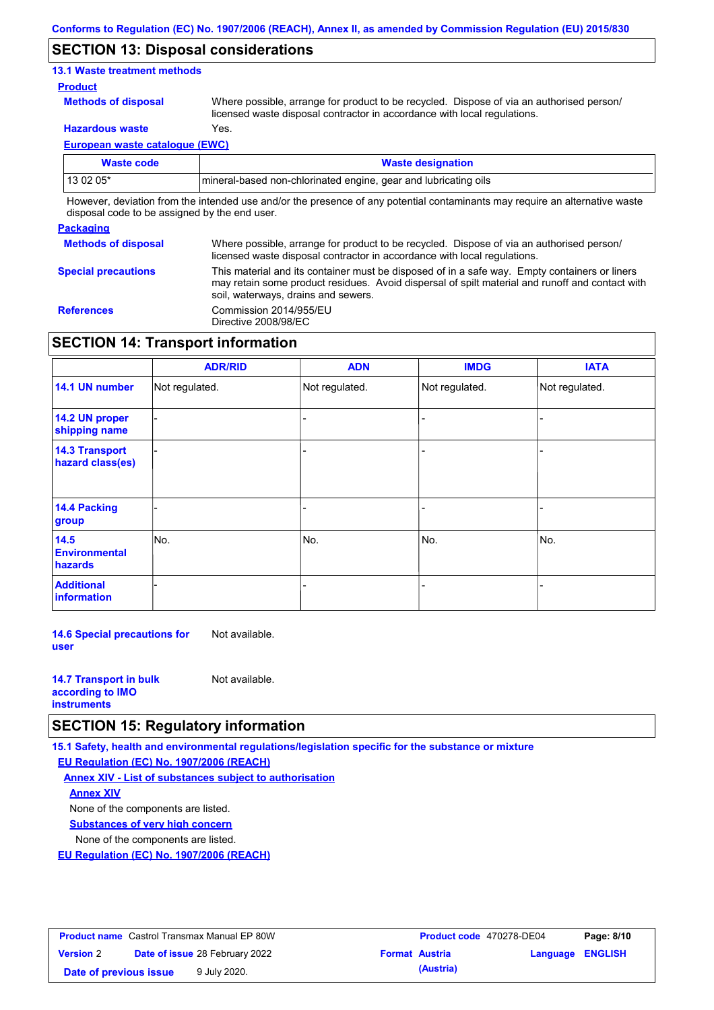### **SECTION 13: Disposal considerations**

### **13.1 Waste treatment methods**

### **Product**

**Methods of disposal**

Where possible, arrange for product to be recycled. Dispose of via an authorised person/ licensed waste disposal contractor in accordance with local regulations.

**Hazardous waste** Yes.

**European waste catalogue (EWC)**

| Waste code | <b>Waste designation</b>                                                                                                    |
|------------|-----------------------------------------------------------------------------------------------------------------------------|
| 13 02 05*  | mineral-based non-chlorinated engine, gear and lubricating oils                                                             |
|            | However, deviation from the intended use and/or the presence of any potential contaminants may require an alternative waste |

disposal code to be assigned by the end user.

#### **Packaging Methods of disposal Special precautions** Where possible, arrange for product to be recycled. Dispose of via an authorised person/ licensed waste disposal contractor in accordance with local regulations. This material and its container must be disposed of in a safe way. Empty containers or liners may retain some product residues. Avoid dispersal of spilt material and runoff and contact with soil, waterways, drains and sewers. **References** Commission 2014/955/EU Directive 2008/98/EC

## **SECTION 14: Transport information**

|                                           | <b>ADR/RID</b> | <b>ADN</b>     | <b>IMDG</b>    | <b>IATA</b>    |
|-------------------------------------------|----------------|----------------|----------------|----------------|
| 14.1 UN number                            | Not regulated. | Not regulated. | Not regulated. | Not regulated. |
| 14.2 UN proper<br>shipping name           |                |                |                |                |
| <b>14.3 Transport</b><br>hazard class(es) |                |                |                |                |
| <b>14.4 Packing</b><br>group              |                |                |                |                |
| 14.5<br><b>Environmental</b><br>hazards   | No.            | No.            | No.            | No.            |
| <b>Additional</b><br>information          |                |                |                |                |

**14.6 Special precautions for user** Not available.

| <b>14.7 Transport in bulk</b> | Not available. |
|-------------------------------|----------------|
| according to <b>IMO</b>       |                |
| <b>instruments</b>            |                |

### **SECTION 15: Regulatory information**

**15.1 Safety, health and environmental regulations/legislation specific for the substance or mixture**

**EU Regulation (EC) No. 1907/2006 (REACH)**

**Annex XIV - List of substances subject to authorisation Substances of very high concern** None of the components are listed. None of the components are listed. **Annex XIV**

**EU Regulation (EC) No. 1907/2006 (REACH)**

| <b>Product name</b> Castrol Transmax Manual EP 80W |                                       |  | <b>Product code</b> 470278-DE04 | Page: 8/10            |                         |  |
|----------------------------------------------------|---------------------------------------|--|---------------------------------|-----------------------|-------------------------|--|
| <b>Version 2</b>                                   | <b>Date of issue 28 February 2022</b> |  |                                 | <b>Format Austria</b> | <b>Language ENGLISH</b> |  |
| Date of previous issue<br>9 July 2020.             |                                       |  | (Austria)                       |                       |                         |  |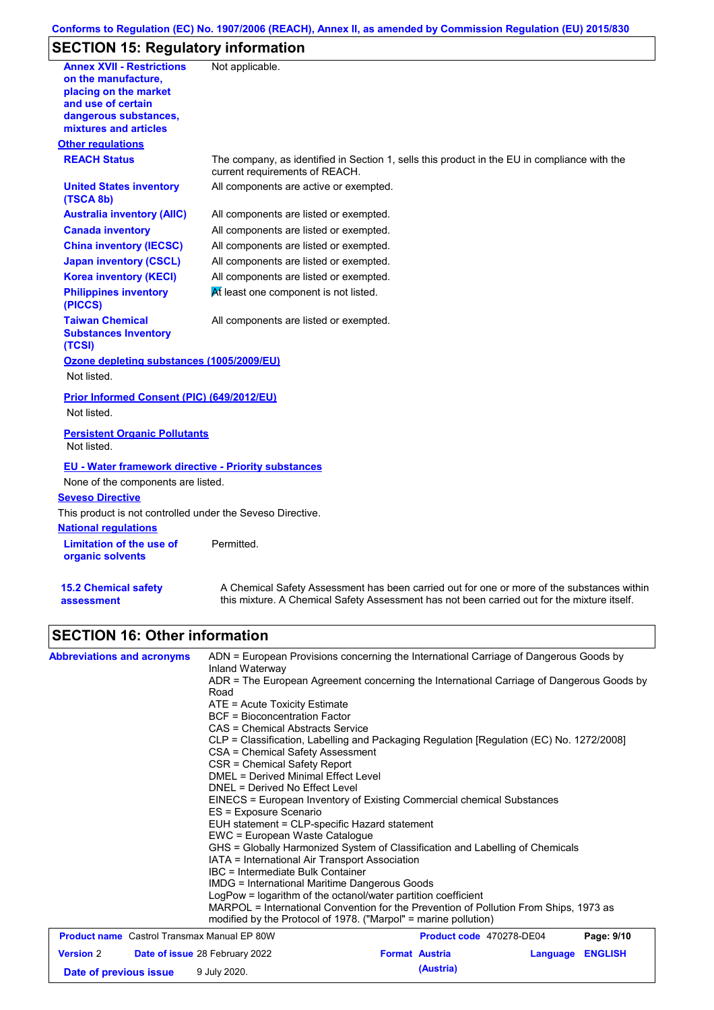# **Conforms to Regulation (EC) No. 1907/2006 (REACH), Annex II, as amended by Commission Regulation (EU) 2015/830**

# **SECTION 15: Regulatory information**

| <b>Annex XVII - Restrictions</b><br>on the manufacture,<br>placing on the market<br>and use of certain<br>dangerous substances,<br>mixtures and articles | Not applicable.                                                                                                                                                                           |
|----------------------------------------------------------------------------------------------------------------------------------------------------------|-------------------------------------------------------------------------------------------------------------------------------------------------------------------------------------------|
| <b>Other regulations</b>                                                                                                                                 |                                                                                                                                                                                           |
| <b>REACH Status</b>                                                                                                                                      | The company, as identified in Section 1, sells this product in the EU in compliance with the<br>current requirements of REACH.                                                            |
| <b>United States inventory</b><br>(TSCA 8b)                                                                                                              | All components are active or exempted.                                                                                                                                                    |
| <b>Australia inventory (AIIC)</b>                                                                                                                        | All components are listed or exempted.                                                                                                                                                    |
| <b>Canada inventory</b>                                                                                                                                  | All components are listed or exempted.                                                                                                                                                    |
| <b>China inventory (IECSC)</b>                                                                                                                           | All components are listed or exempted.                                                                                                                                                    |
| <b>Japan inventory (CSCL)</b>                                                                                                                            | All components are listed or exempted.                                                                                                                                                    |
| <b>Korea inventory (KECI)</b>                                                                                                                            | All components are listed or exempted.                                                                                                                                                    |
| <b>Philippines inventory</b><br>(PICCS)                                                                                                                  | At least one component is not listed.                                                                                                                                                     |
| <b>Taiwan Chemical</b><br><b>Substances Inventory</b><br>(TCSI)                                                                                          | All components are listed or exempted.                                                                                                                                                    |
| Ozone depleting substances (1005/2009/EU)<br>Not listed.                                                                                                 |                                                                                                                                                                                           |
| Prior Informed Consent (PIC) (649/2012/EU)<br>Not listed.                                                                                                |                                                                                                                                                                                           |
| <b>Persistent Organic Pollutants</b><br>Not listed.                                                                                                      |                                                                                                                                                                                           |
| <u>EU - Water framework directive - Priority substances</u><br>None of the components are listed.                                                        |                                                                                                                                                                                           |
| <b>Seveso Directive</b>                                                                                                                                  |                                                                                                                                                                                           |
| This product is not controlled under the Seveso Directive.                                                                                               |                                                                                                                                                                                           |
| <b>National regulations</b><br>Limitation of the use of<br>organic solvents                                                                              | Permitted.                                                                                                                                                                                |
| <b>15.2 Chemical safety</b><br>assessment                                                                                                                | A Chemical Safety Assessment has been carried out for one or more of the substances within<br>this mixture. A Chemical Safety Assessment has not been carried out for the mixture itself. |

# **SECTION 16: Other information**

| <b>Abbreviations and acronyms</b>                  | Inland Waterway<br>Road<br>$ATE = Acute Toxicity Estimate$<br>BCF = Bioconcentration Factor<br>CAS = Chemical Abstracts Service                                                                                      | ADN = European Provisions concerning the International Carriage of Dangerous Goods by<br>ADR = The European Agreement concerning the International Carriage of Dangerous Goods by<br>CLP = Classification, Labelling and Packaging Regulation [Regulation (EC) No. 1272/2008] |            |
|----------------------------------------------------|----------------------------------------------------------------------------------------------------------------------------------------------------------------------------------------------------------------------|-------------------------------------------------------------------------------------------------------------------------------------------------------------------------------------------------------------------------------------------------------------------------------|------------|
|                                                    | CSA = Chemical Safety Assessment<br>CSR = Chemical Safety Report<br>DMEL = Derived Minimal Effect Level<br>DNEL = Derived No Effect Level<br>ES = Exposure Scenario<br>EUH statement = CLP-specific Hazard statement | EINECS = European Inventory of Existing Commercial chemical Substances                                                                                                                                                                                                        |            |
|                                                    | EWC = European Waste Catalogue<br>IATA = International Air Transport Association<br>IBC = Intermediate Bulk Container                                                                                                | GHS = Globally Harmonized System of Classification and Labelling of Chemicals                                                                                                                                                                                                 |            |
|                                                    | IMDG = International Maritime Dangerous Goods<br>LogPow = logarithm of the octanol/water partition coefficient<br>modified by the Protocol of 1978. ("Marpol" = marine pollution)                                    | MARPOL = International Convention for the Prevention of Pollution From Ships, 1973 as                                                                                                                                                                                         |            |
| <b>Product name</b> Castrol Transmax Manual EP 80W |                                                                                                                                                                                                                      | Product code 470278-DE04                                                                                                                                                                                                                                                      | Page: 9/10 |

| <b>Product name</b> Castrol Transmax Manual EP 80W        |  | <b>Product code</b> 470278-DE04 |                       | Page: 9/10       |  |  |
|-----------------------------------------------------------|--|---------------------------------|-----------------------|------------------|--|--|
| <b>Date of issue 28 February 2022</b><br><b>Version 2</b> |  |                                 | <b>Format Austria</b> | Language ENGLISH |  |  |
| Date of previous issue                                    |  | 9 July 2020.                    |                       | (Austria)        |  |  |